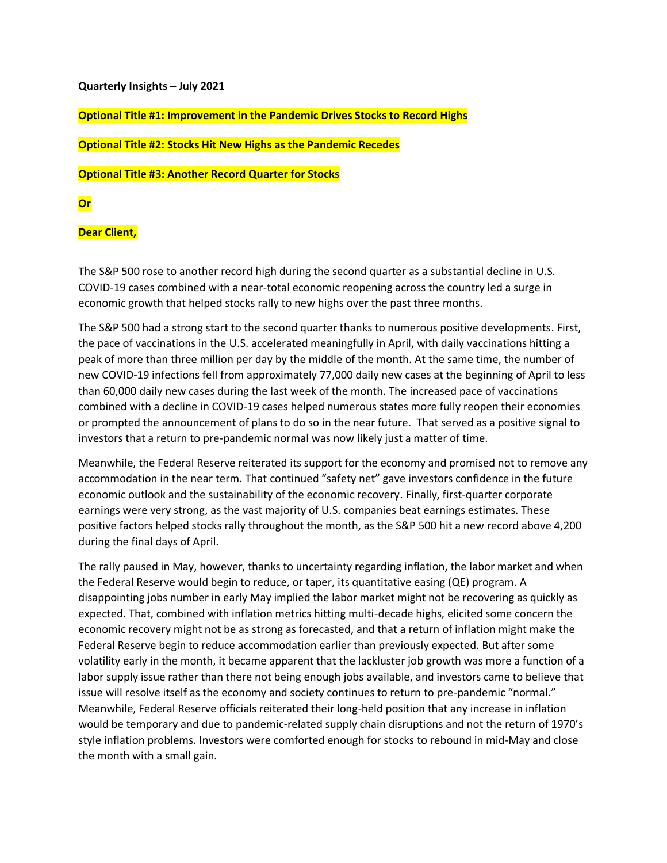#### **Quarterly Insights – July 2021**

**Optional Title #1: Improvement in the Pandemic Drives Stocks to Record Highs**

**Optional Title #2: Stocks Hit New Highs as the Pandemic Recedes** 

**Optional Title #3: Another Record Quarter for Stocks**

# **Or**

### **Dear Client,**

The S&P 500 rose to another record high during the second quarter as a substantial decline in U.S. COVID-19 cases combined with a near-total economic reopening across the country led a surge in economic growth that helped stocks rally to new highs over the past three months.

The S&P 500 had a strong start to the second quarter thanks to numerous positive developments. First, the pace of vaccinations in the U.S. accelerated meaningfully in April, with daily vaccinations hitting a peak of more than three million per day by the middle of the month. At the same time, the number of new COVID-19 infections fell from approximately 77,000 daily new cases at the beginning of April to less than 60,000 daily new cases during the last week of the month. The increased pace of vaccinations combined with a decline in COVID-19 cases helped numerous states more fully reopen their economies or prompted the announcement of plans to do so in the near future. That served as a positive signal to investors that a return to pre-pandemic normal was now likely just a matter of time.

Meanwhile, the Federal Reserve reiterated its support for the economy and promised not to remove any accommodation in the near term. That continued "safety net" gave investors confidence in the future economic outlook and the sustainability of the economic recovery. Finally, first-quarter corporate earnings were very strong, as the vast majority of U.S. companies beat earnings estimates. These positive factors helped stocks rally throughout the month, as the S&P 500 hit a new record above 4,200 during the final days of April.

The rally paused in May, however, thanks to uncertainty regarding inflation, the labor market and when the Federal Reserve would begin to reduce, or taper, its quantitative easing (QE) program. A disappointing jobs number in early May implied the labor market might not be recovering as quickly as expected. That, combined with inflation metrics hitting multi-decade highs, elicited some concern the economic recovery might not be as strong as forecasted, and that a return of inflation might make the Federal Reserve begin to reduce accommodation earlier than previously expected. But after some volatility early in the month, it became apparent that the lackluster job growth was more a function of a labor supply issue rather than there not being enough jobs available, and investors came to believe that issue will resolve itself as the economy and society continues to return to pre-pandemic "normal." Meanwhile, Federal Reserve officials reiterated their long-held position that any increase in inflation would be temporary and due to pandemic-related supply chain disruptions and not the return of 1970's style inflation problems. Investors were comforted enough for stocks to rebound in mid-May and close the month with a small gain.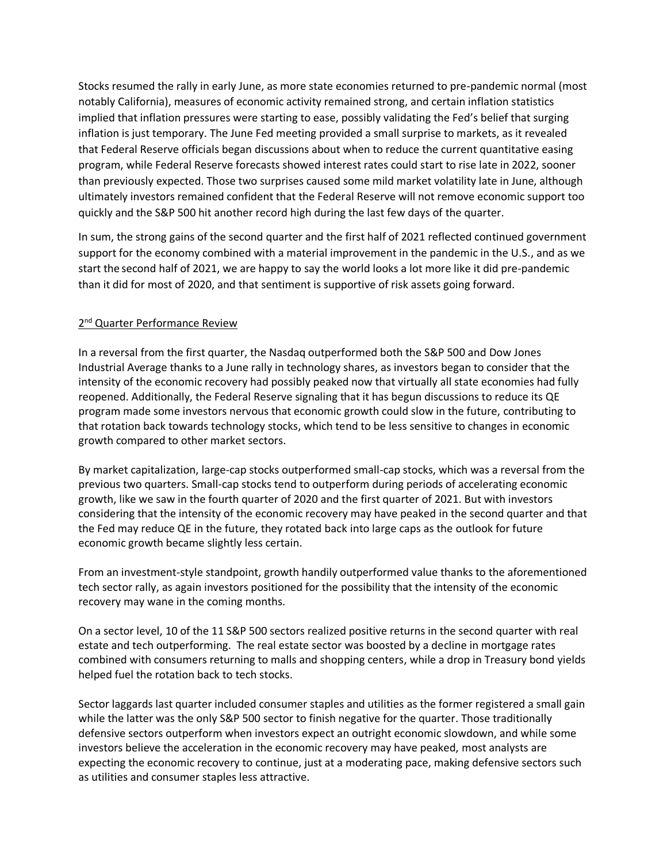Stocks resumed the rally in early June, as more state economies returned to pre-pandemic normal (most notably California), measures of economic activity remained strong, and certain inflation statistics implied that inflation pressures were starting to ease, possibly validating the Fed's belief that surging inflation is just temporary. The June Fed meeting provided a small surprise to markets, as it revealed that Federal Reserve officials began discussions about when to reduce the current quantitative easing program, while Federal Reserve forecasts showed interest rates could start to rise late in 2022, sooner than previously expected. Those two surprises caused some mild market volatility late in June, although ultimately investors remained confident that the Federal Reserve will not remove economic support too quickly and the S&P 500 hit another record high during the last few days of the quarter.

In sum, the strong gains of the second quarter and the first half of 2021 reflected continued government support for the economy combined with a material improvement in the pandemic in the U.S., and as we start the second half of 2021, we are happy to say the world looks a lot more like it did pre-pandemic than it did for most of 2020, and that sentiment is supportive of risk assets going forward.

# 2<sup>nd</sup> Quarter Performance Review

In a reversal from the first quarter, the Nasdaq outperformed both the S&P 500 and Dow Jones Industrial Average thanks to a June rally in technology shares, as investors began to consider that the intensity of the economic recovery had possibly peaked now that virtually all state economies had fully reopened. Additionally, the Federal Reserve signaling that it has begun discussions to reduce its QE program made some investors nervous that economic growth could slow in the future, contributing to that rotation back towards technology stocks, which tend to be less sensitive to changes in economic growth compared to other market sectors.

By market capitalization, large-cap stocks outperformed small-cap stocks, which was a reversal from the previous two quarters. Small-cap stocks tend to outperform during periods of accelerating economic growth, like we saw in the fourth quarter of 2020 and the first quarter of 2021. But with investors considering that the intensity of the economic recovery may have peaked in the second quarter and that the Fed may reduce QE in the future, they rotated back into large caps as the outlook for future economic growth became slightly less certain.

From an investment-style standpoint, growth handily outperformed value thanks to the aforementioned tech sector rally, as again investors positioned for the possibility that the intensity of the economic recovery may wane in the coming months.

On a sector level, 10 of the 11 S&P 500 sectors realized positive returns in the second quarter with real estate and tech outperforming. The real estate sector was boosted by a decline in mortgage rates combined with consumers returning to malls and shopping centers, while a drop in Treasury bond yields helped fuel the rotation back to tech stocks.

Sector laggards last quarter included consumer staples and utilities as the former registered a small gain while the latter was the only S&P 500 sector to finish negative for the quarter. Those traditionally defensive sectors outperform when investors expect an outright economic slowdown, and while some investors believe the acceleration in the economic recovery may have peaked, most analysts are expecting the economic recovery to continue, just at a moderating pace, making defensive sectors such as utilities and consumer staples less attractive.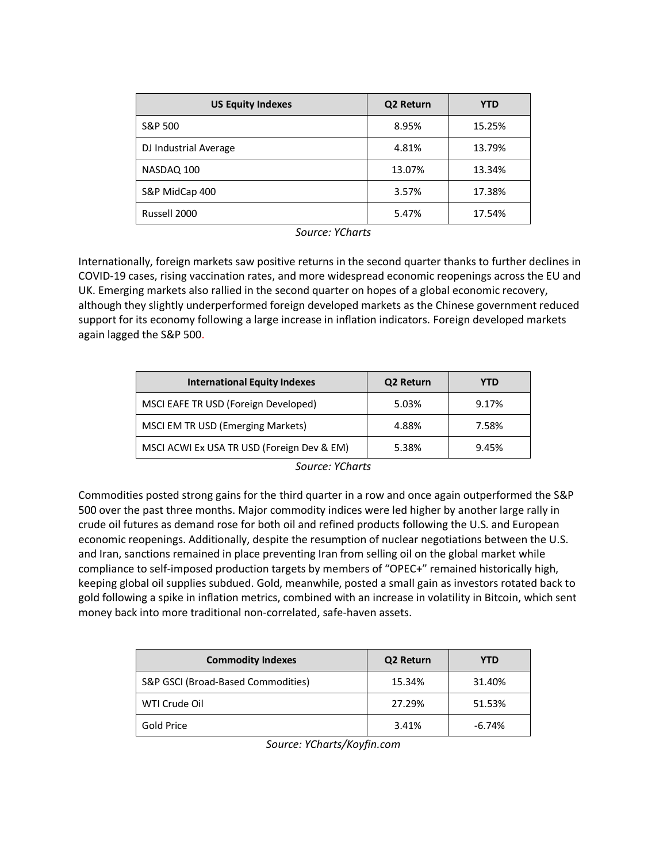| <b>US Equity Indexes</b> | Q2 Return | <b>YTD</b> |
|--------------------------|-----------|------------|
| S&P 500                  | 8.95%     | 15.25%     |
| DJ Industrial Average    | 4.81%     | 13.79%     |
| NASDAQ 100               | 13.07%    | 13.34%     |
| S&P MidCap 400           | 3.57%     | 17.38%     |
| Russell 2000             | 5.47%     | 17.54%     |

*Source: YCharts*

Internationally, foreign markets saw positive returns in the second quarter thanks to further declines in COVID-19 cases, rising vaccination rates, and more widespread economic reopenings across the EU and UK. Emerging markets also rallied in the second quarter on hopes of a global economic recovery, although they slightly underperformed foreign developed markets as the Chinese government reduced support for its economy following a large increase in inflation indicators. Foreign developed markets again lagged the S&P 500.

| <b>International Equity Indexes</b>        | Q2 Return | YTD   |
|--------------------------------------------|-----------|-------|
| MSCI EAFE TR USD (Foreign Developed)       | 5.03%     | 9.17% |
| MSCI EM TR USD (Emerging Markets)          | 4.88%     | 7.58% |
| MSCI ACWI Ex USA TR USD (Foreign Dev & EM) | 5.38%     | 9.45% |

*Source: YCharts*

Commodities posted strong gains for the third quarter in a row and once again outperformed the S&P 500 over the past three months. Major commodity indices were led higher by another large rally in crude oil futures as demand rose for both oil and refined products following the U.S. and European economic reopenings. Additionally, despite the resumption of nuclear negotiations between the U.S. and Iran, sanctions remained in place preventing Iran from selling oil on the global market while compliance to self-imposed production targets by members of "OPEC+" remained historically high, keeping global oil supplies subdued. Gold, meanwhile, posted a small gain as investors rotated back to gold following a spike in inflation metrics, combined with an increase in volatility in Bitcoin, which sent money back into more traditional non-correlated, safe-haven assets.

| <b>Commodity Indexes</b>           | Q2 Return | YTD      |
|------------------------------------|-----------|----------|
| S&P GSCI (Broad-Based Commodities) | 15.34%    | 31.40%   |
| WTI Crude Oil                      | 27.29%    | 51.53%   |
| Gold Price                         | 3.41%     | $-6.74%$ |

*Source: YCharts/Koyfin.com*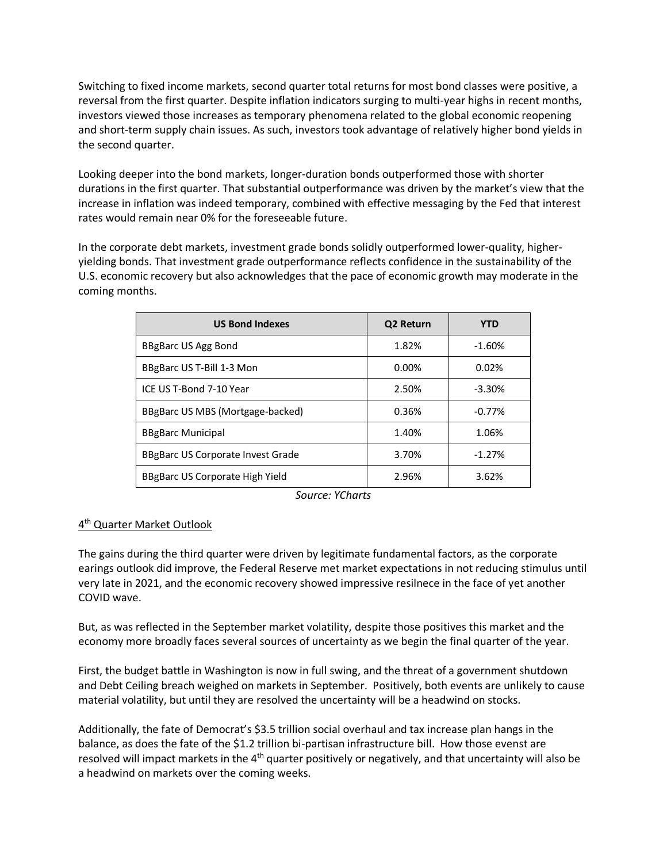Switching to fixed income markets, second quarter total returns for most bond classes were positive, a reversal from the first quarter. Despite inflation indicators surging to multi-year highs in recent months, investors viewed those increases as temporary phenomena related to the global economic reopening and short-term supply chain issues. As such, investors took advantage of relatively higher bond yields in the second quarter.

Looking deeper into the bond markets, longer-duration bonds outperformed those with shorter durations in the first quarter. That substantial outperformance was driven by the market's view that the increase in inflation was indeed temporary, combined with effective messaging by the Fed that interest rates would remain near 0% for the foreseeable future.

In the corporate debt markets, investment grade bonds solidly outperformed lower-quality, higheryielding bonds. That investment grade outperformance reflects confidence in the sustainability of the U.S. economic recovery but also acknowledges that the pace of economic growth may moderate in the coming months.

| <b>US Bond Indexes</b>                   | Q2 Return | YTD       |
|------------------------------------------|-----------|-----------|
| BBgBarc US Agg Bond                      | 1.82%     | $-1.60%$  |
| BBgBarc US T-Bill 1-3 Mon                | $0.00\%$  | 0.02%     |
| ICE US T-Bond 7-10 Year                  | 2.50%     | $-3.30\%$ |
| BBgBarc US MBS (Mortgage-backed)         | 0.36%     | $-0.77%$  |
| <b>BBgBarc Municipal</b>                 | 1.40%     | 1.06%     |
| <b>BBgBarc US Corporate Invest Grade</b> | 3.70%     | $-1.27%$  |
| BBgBarc US Corporate High Yield          | 2.96%     | 3.62%     |

*Source: YCharts*

# 4<sup>th</sup> Quarter Market Outlook

The gains during the third quarter were driven by legitimate fundamental factors, as the corporate earings outlook did improve, the Federal Reserve met market expectations in not reducing stimulus until very late in 2021, and the economic recovery showed impressive resilnece in the face of yet another COVID wave.

But, as was reflected in the September market volatility, despite those positives this market and the economy more broadly faces several sources of uncertainty as we begin the final quarter of the year.

First, the budget battle in Washington is now in full swing, and the threat of a government shutdown and Debt Ceiling breach weighed on markets in September. Positively, both events are unlikely to cause material volatility, but until they are resolved the uncertainty will be a headwind on stocks.

Additionally, the fate of Democrat's \$3.5 trillion social overhaul and tax increase plan hangs in the balance, as does the fate of the \$1.2 trillion bi-partisan infrastructure bill. How those evenst are resolved will impact markets in the 4<sup>th</sup> quarter positively or negatively, and that uncertainty will also be a headwind on markets over the coming weeks.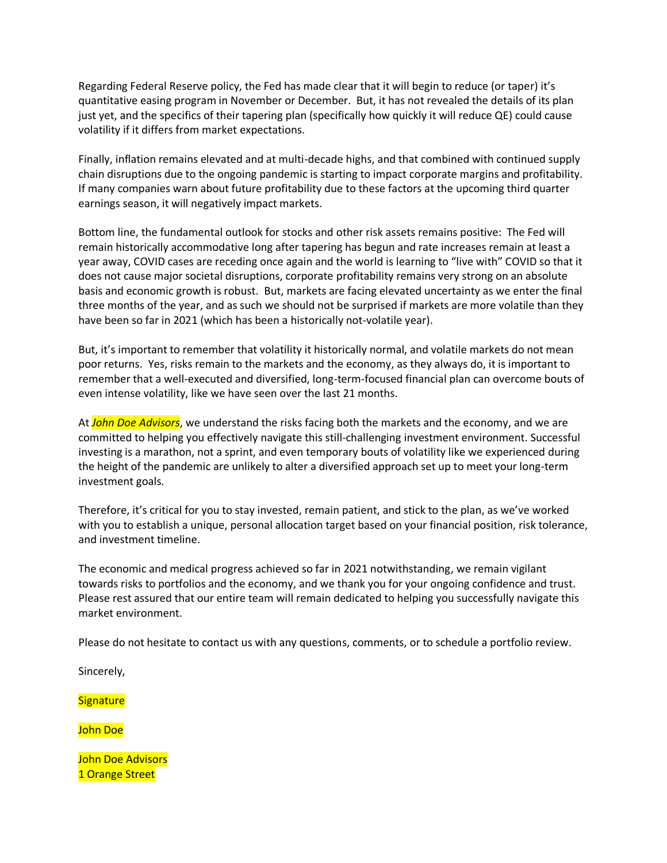Regarding Federal Reserve policy, the Fed has made clear that it will begin to reduce (or taper) it's quantitative easing program in November or December. But, it has not revealed the details of its plan just yet, and the specifics of their tapering plan (specifically how quickly it will reduce QE) could cause volatility if it differs from market expectations.

Finally, inflation remains elevated and at multi-decade highs, and that combined with continued supply chain disruptions due to the ongoing pandemic is starting to impact corporate margins and profitability. If many companies warn about future profitability due to these factors at the upcoming third quarter earnings season, it will negatively impact markets.

Bottom line, the fundamental outlook for stocks and other risk assets remains positive: The Fed will remain historically accommodative long after tapering has begun and rate increases remain at least a year away, COVID cases are receding once again and the world is learning to "live with" COVID so that it does not cause major societal disruptions, corporate profitability remains very strong on an absolute basis and economic growth is robust. But, markets are facing elevated uncertainty as we enter the final three months of the year, and as such we should not be surprised if markets are more volatile than they have been so far in 2021 (which has been a historically not-volatile year).

But, it's important to remember that volatility it historically normal, and volatile markets do not mean poor returns. Yes, risks remain to the markets and the economy, as they always do, it is important to remember that a well-executed and diversified, long-term-focused financial plan can overcome bouts of even intense volatility, like we have seen over the last 21 months.

At *John Doe Advisors*, we understand the risks facing both the markets and the economy, and we are committed to helping you effectively navigate this still-challenging investment environment. Successful investing is a marathon, not a sprint, and even temporary bouts of volatility like we experienced during the height of the pandemic are unlikely to alter a diversified approach set up to meet your long-term investment goals.

Therefore, it's critical for you to stay invested, remain patient, and stick to the plan, as we've worked with you to establish a unique, personal allocation target based on your financial position, risk tolerance, and investment timeline.

The economic and medical progress achieved so far in 2021 notwithstanding, we remain vigilant towards risks to portfolios and the economy, and we thank you for your ongoing confidence and trust. Please rest assured that our entire team will remain dedicated to helping you successfully navigate this market environment.

Please do not hesitate to contact us with any questions, comments, or to schedule a portfolio review.

Sincerely,

**Signature** 

John Doe

John Doe Advisors 1 Orange Street